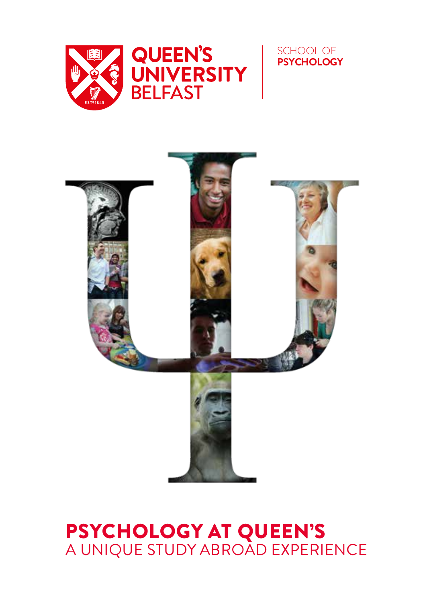





# PSYCHOLOGY AT QUEEN'S A UNIQUE STUDY ABROAD EXPERIENCE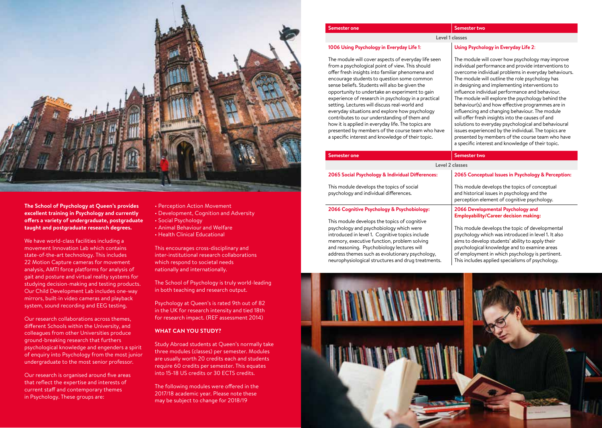

**The School of Psychology at Queen's provides excellent training in Psychology and currently offers a variety of undergraduate, postgraduate taught and postgraduate research degrees.**

We have world-class facilities including a movement Innovation Lab which contains state-of-the-art technology. This includes 22 Motion Capture cameras for movement analysis, AMTI force platforms for analysis of gait and posture and virtual reality systems for studying decision-making and testing products. Our Child Development Lab includes one-way mirrors, built-in video cameras and playback system, sound recording and EEG testing.

Our research collaborations across themes, different Schools within the University, and colleagues from other Universities produce ground-breaking research that furthers psychological knowledge and engenders a spirit of enquiry into Psychology from the most junior undergraduate to the most senior professor.

Our research is organised around five areas that reflect the expertise and interests of current staff and contemporary themes in Psychology. These groups are:

- Perception Action Movement
- Development, Cognition and Adversity
- Social Psychology
- Animal Behaviour and Welfare
- Health Clinical Educational

This encourages cross-disciplinary and inter-institutional research collaborations which respond to societal needs nationally and internationally.

The School of Psychology is truly world-leading in both teaching and research output.

Psychology at Queen's is rated 9th out of 82 in the UK for research intensity and tied 18th for research impact. (REF assessment 2014)

# **WHAT CAN YOU STUDY?**

Study Abroad students at Queen's normally take three modules (classes) per semester. Modules are usually worth 20 credits each and students require 60 credits per semester. This equates into 15-18 US credits or 30 ECTS credits.

The following modules were offered in the 2017/18 academic year. Please note these may be subject to change for 2018/19

# **Semester one Semester two**

# **Level 1 classes**

# **1006 Using Psychology in Everyday Life 1**:

The module will cover aspects of everyday life seen from a psychological point of view. This should offer fresh insights into familiar phenomena and encourage students to question some common sense beliefs. Students will also be given the opportunity to undertake an experiment to gain experience of research in psychology in a practical setting. Lectures will discuss real-world and everyday situations and explore how psychology contributes to our understanding of them and how it is applied in everyday life. The topics are presented by members of the course team who have a specific interest and knowledge of their topic.

address themes such as evolutionary psychology, neurophysiological structures and drug treatments.

# **Using Psychology in Everyday Life 2**:

The module will cover how psychology may improve individual performance and provide interventions to overcome individual problems in everyday behaviours. The module will outline the role psychology has in designing and implementing interventions to influence individual performance and behaviour. The module will explore the psychology behind the behaviour(s) and how effective programmes are in influencing and changing behaviour. The module will offer fresh insights into the causes of and solutions to everyday psychological and behavioural issues experienced by the individual. The topics are presented by members of the course team who have a specific interest and knowledge of their topic.

of employment in which psychology is pertinent. This includes applied specialisms of psychology.

| <b>Semester one</b>                                                                 | Semester two                                                                                                                                |
|-------------------------------------------------------------------------------------|---------------------------------------------------------------------------------------------------------------------------------------------|
| Level 2 classes                                                                     |                                                                                                                                             |
| 2065 Social Psychology & Individual Differences:                                    | 2065 Conceptual Issues in Psychology & Perception:                                                                                          |
| This module develops the topics of social<br>psychology and individual differences. | This module develops the topics of conceptual<br>and historical issues in psychology and the<br>perception element of cognitive psychology. |
| 2066 Cognitive Psychology & Psychobiology:                                          | 2066 Developmental Psychology and<br><b>Employability/Career decision making:</b>                                                           |
| This module develops the topics of cognitive                                        |                                                                                                                                             |
| psychology and psychobiology which were                                             | This module develops the topic of developmental                                                                                             |
| introduced in level 1. Cognitive topics include                                     | psychology which was introduced in level 1. It also                                                                                         |
| memory, executive function, problem solving                                         | aims to develop students' ability to apply their                                                                                            |
| and reasoning. Psychobiology lectures will                                          | psychological knowledge and to examine areas                                                                                                |

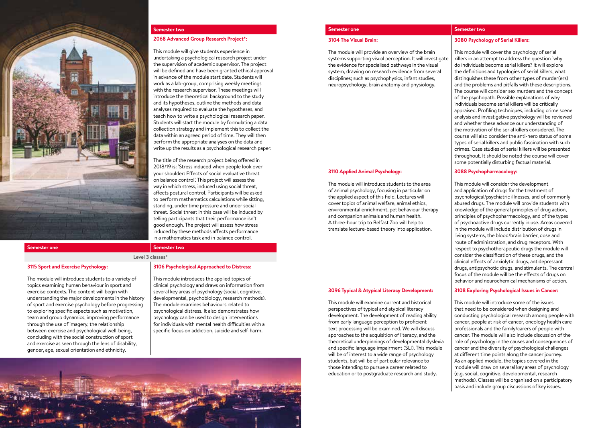

#### **v Semester two**

# **2068 Advanced Group Research Project\*:**

This module will give students experience in

undertaking a psychological research project under the supervision of academic supervisor. The project will be defined and have been granted ethical approval in advance of the module start date. Students will work as a lab-group, comprising weekly meetings with the research supervisor. These meetings will introduce the theoretical background to the study and its hypotheses, outline the methods and data analyses required to evaluate the hypotheses, and teach how to write a psychological research paper. Students will start the module by formulating a data collection strategy and implement this to collect the data within an agreed period of time. They will then perform the appropriate analyses on the data and write up the results as a psychological research paper.

The title of the research project being offered in 2018/19 is: 'Stress induced when people look over your shoulder: Effects of social evaluative threat on balance control'. This project will assess the way in which stress, induced using social threat, affects postural control. Participants will be asked to perform mathematics calculations while sitting, standing, under time pressure and under social threat. Social threat in this case will be induced by telling participants that their performance isn't good enough. The project will assess how stress induced by these methods affects performance in a mathematics task and in balance control.

### **Semester one Semester two**

# **Level 3 classes\***

### **3115 Sport and Exercise Psychology:**

The module will introduce students to a variety of topics examining human behaviour in sport and exercise contexts. The content will begin with understanding the major developments in the history of sport and exercise psychology before progressing to exploring specific aspects such as motivation, team and group dynamics, improving performance through the use of imagery, the relationship between exercise and psychological well-being, concluding with the social construction of sport and exercise as seen through the lens of disability, gender, age, sexual orientation and ethnicity.

#### **3106 Psychological Approached to Distress:**

This module introduces the applied topics of clinical psychology and draws on information from several key areas of psychology (social, cognitive, developmental, psychobiology, research methods). The module examines behaviours related to psychological distress. It also demonstrates how psychology can be used to design interventions for individuals with mental health difficulties with a specific focus on addiction, suicide and self-harm.



### **3104 The Visual Brain:**

The module will provide an overview of the brain systems supporting visual perception. It will investigate the evidence for specialised pathways in the visual system, drawing on research evidence from several disciplines; such as psychophysics, infant studies, neuropsychology, brain anatomy and physiology.

### **3110 Applied Animal Psychology:**

The module will introduce students to the area of animal psychology, focusing in particular on the applied aspect of this field. Lectures will cover topics of animal welfare, animal ethics, environmental enrichment, pet behaviour therapy and companion animals and human health. A three-hour trip to Belfast Zoo will help to translate lecture-based theory into application.

#### **3096 Typical & Atypical Literacy Development:**

This module will examine current and historical perspectives of typical and atypical literacy development. The development of reading ability from early language perception to proficient text processing will be examined. We will discuss approaches to the acquisition of literacy, and the theoretical underpinnings of developmental dyslexia and specific language impairment (SLI). This module will be of interest to a wide range of psychology students, but will be of particular relevance to those intending to pursue a career related to education or to postgraduate research and study.

# **Semester one Semester two**

### **3080 Psychology of Serial Killers:**

This module will cover the psychology of serial killers in an attempt to address the question `why do individuals become serial killers? It will explore the definitions and typologies of serial killers, what distinguishes these from other types of murder(ers) and the problems and pitfalls with these descriptions. The course will consider sex murders and the concept of the psychopath. Possible explanations of why individuals become serial killers will be critically appraised. Profiling techniques, including crime scene analysis and investigative psychology will be reviewed and whether these advance our understanding of the motivation of the serial killers considered. The course will also consider the anti-hero status of some types of serial killers and public fascination with such crimes. Case studies of serial killers will be presented throughout. It should be noted the course will cover some potentially disturbing factual material.

#### **3088 Psychopharmacology:**

This module will consider the development and application of drugs for the treatment of psychological/psychiatric illnesses, and of commonly abused drugs. The module will provide students with knowledge of the general principles of drug action, principles of psychopharmacology, and of the types of psychoactive drugs currently in use. Areas covered in the module will include distribution of drugs in living systems, the blood/brain barrier, dose and route of administration, and drug receptors. With respect to psychotherapeutic drugs the module will consider the classification of these drugs, and the clinical effects of anxiolytic drugs, antidepressant drugs, antipsychotic drugs, and stimulants. The central focus of the module will be the effects of drugs on behavior and neurochemical mechanisms of action.

#### **3108 Exploring Psychological Issues in Cancer:**

This module will introduce some of the issues that need to be considered when designing and conducting psychological research among people with cancer, people at risk of cancer, oncology health care professionals and the family/carers of people with cancer. The module will also include discussion of the role of psychology in the causes and consequences of cancer and the diversity of psychological challenges at different time points along the cancer journey. As an applied module, the topics covered in the module will draw on several key areas of psychology (e.g. social, cognitive, developmental, research methods). Classes will be organised on a participatory basis and include group discussions of key issues.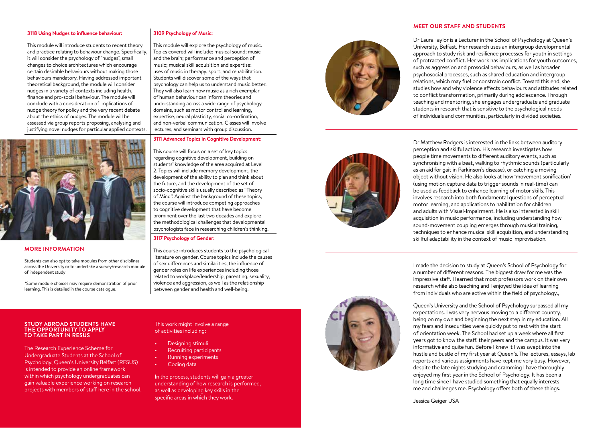### **3118 Using Nudges to influence behaviour:**

This module will introduce students to recent theory and practice relating to behaviour change. Specifically, it will consider the psychology of "nudges", small changes to choice architectures which encourage certain desirable behaviours without making those behaviours mandatory. Having addressed important theoretical background, the module will consider nudges in a variety of contexts including health, finance and pro-social behaviour. The module will conclude with a consideration of implications of nudge theory for policy and the very recent debate about the ethics of nudges. The module will be assessed via group reports proposing, analysing and justifying novel nudges for particular applied contexts.



# **MORE INFORMATION**

Students can also opt to take modules from other disciplines across the University or to undertake a survey/research module of independent study

\*Some module choices may require demonstration of prior learning. This is detailed in the course catalogue.

# **3109 Psychology of Music:**

This module will explore the psychology of music. Topics covered will include: musical sound; music and the brain; performance and perception of music; musical skill acquisition and expertise; uses of music in therapy, sport, and rehabilitation. Students will discover some of the ways that psychology can help us to understand music better. They will also learn how music as a rich exemplar of human behaviour can inform theories and understanding across a wide range of psychology domains, such as motor control and learning, expertise, neural plasticity, social co-ordination, and non-verbal communication. Classes will involve lectures, and seminars with group discussion.

# **3111 Advanced Topics in Cognitive Development:**

This course will focus on a set of key topics regarding cognitive development, building on students' knowledge of the area acquired at Level 2. Topics will include memory development, the development of the ability to plan and think about the future, and the development of the set of socio-cognitive skills usually described as "Theory of Mind". Against the background of these topics, the course will introduce competing approaches to cognitive development that have become prominent over the last two decades and explore the methodological challenges that developmental psychologists face in researching children's thinking.

#### **3117 Psychology of Gender:**

This course introduces students to the psychological literature on gender. Course topics include the causes of sex differences and similarities, the influence of gender roles on life experiences including those related to workplace/leadership, parenting, sexuality, violence and aggression, as well as the relationship between gender and health and well-being.



Dr Matthew Rodgers is interested in the links between auditory perception and skilful action. His research investigates how people time movements to different auditory events, such as synchronising with a beat, walking to rhythmic sounds (particularly as an aid for gait in Parkinson's disease), or catching a moving object without vision. He also looks at how 'movement sonification' (using motion capture data to trigger sounds in real-time) can be used as feedback to enhance learning of motor skills. This involves research into both fundamental questions of perceptualmotor learning, and applications to habilitation for children and adults with Visual-Impairment. He is also interested in skill acquisition in music performance, including understanding how sound-movement coupling emerges through musical training, techniques to enhance musical skill acquisition, and understanding skillful adaptability in the context of music improvisation.

I made the decision to study at Queen's School of Psychology for a number of different reasons. The biggest draw for me was the impressive staff. I learned that most professors work on their own research while also teaching and I enjoyed the idea of learning from individuals who are active within the field of psychology.,

Queen's University and the School of Psychology surpassed all my expectations. I was very nervous moving to a different country, being on my own and beginning the next step in my education. All my fears and insecurities were quickly put to rest with the start of orientation week. The School had set up a week where all first years got to know the staff, their peers and the campus. It was very informative and quite fun. Before I knew it I was swept into the hustle and bustle of my first year at Queen's. The lectures, essays, lab reports and various assignments have kept me very busy. However, despite the late nights studying and cramming I have thoroughly enjoyed my first year in the School of Psychology. It has been a long time since I have studied something that equally interests me and challenges me. Psychology offers both of these things.

Jessica Geiger USA

### **STUDY ABROAD STUDENTS HAVE THE OPPORTUNITY TO APPLY TO TAKE PART IN RESUS**

The Research Experience Scheme for Undergraduate Students at the School of Psychology, Queen's University Belfast (RESUS) is intended to provide an online framework within which psychology undergraduates can gain valuable experience working on research projects with members of staff here in the school.

# This work might involve a range of activities including:

- Designing stimuli
- Recruiting participants
- Running experiments
- Coding data

In the process, students will gain a greater understanding of how research is performed, as well as developing key skills in the specific areas in which they work.





# **MEET OUR STAFF AND STUDENTS**

Dr Laura Taylor is a Lecturer in the School of Psychology at Queen's University, Belfast. Her research uses an intergroup developmental approach to study risk and resilience processes for youth in settings of protracted conflict. Her work has implications for youth outcomes, such as aggression and prosocial behaviours, as well as broader psychosocial processes, such as shared education and intergroup relations, which may fuel or constrain conflict. Toward this end, she studies how and why violence affects behaviours and attitudes related to conflict transformation, primarily during adolescence. Through teaching and mentoring, she engages undergraduate and graduate students in research that is sensitive to the psychological needs of individuals and communities, particularly in divided societies.